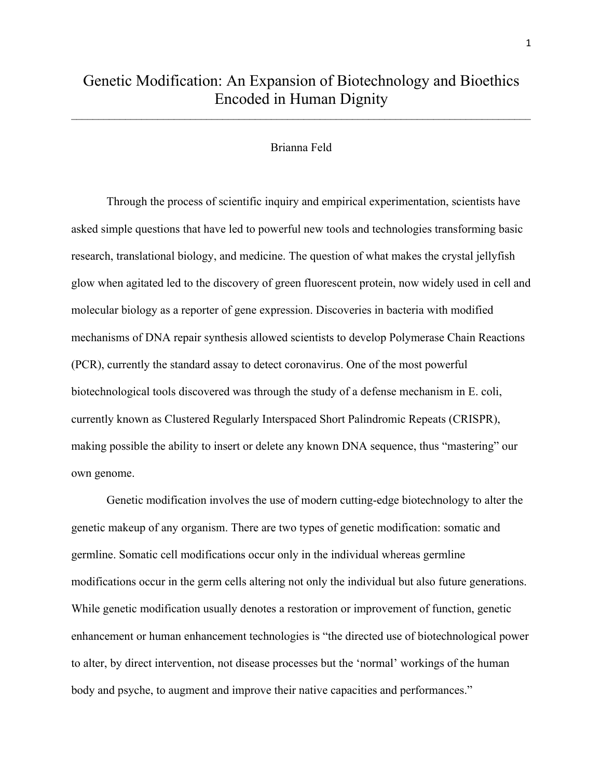$\mathcal{L}_\text{max} = \mathcal{L}_\text{max} = \mathcal{L}_\text{max} = \mathcal{L}_\text{max} = \mathcal{L}_\text{max} = \mathcal{L}_\text{max} = \mathcal{L}_\text{max} = \mathcal{L}_\text{max} = \mathcal{L}_\text{max} = \mathcal{L}_\text{max} = \mathcal{L}_\text{max} = \mathcal{L}_\text{max} = \mathcal{L}_\text{max} = \mathcal{L}_\text{max} = \mathcal{L}_\text{max} = \mathcal{L}_\text{max} = \mathcal{L}_\text{max} = \mathcal{L}_\text{max} = \mathcal{$ 

## Brianna Feld

Through the process of scientific inquiry and empirical experimentation, scientists have asked simple questions that have led to powerful new tools and technologies transforming basic research, translational biology, and medicine. The question of what makes the crystal jellyfish glow when agitated led to the discovery of green fluorescent protein, now widely used in cell and molecular biology as a reporter of gene expression. Discoveries in bacteria with modified mechanisms of DNA repair synthesis allowed scientists to develop Polymerase Chain Reactions (PCR), currently the standard assay to detect coronavirus. One of the most powerful biotechnological tools discovered was through the study of a defense mechanism in E. coli, currently known as Clustered Regularly Interspaced Short Palindromic Repeats (CRISPR), making possible the ability to insert or delete any known DNA sequence, thus "mastering" our own genome.

Genetic modification involves the use of modern cutting-edge biotechnology to alter the genetic makeup of any organism. There are two types of genetic modification: somatic and germline. Somatic cell modifications occur only in the individual whereas germline modifications occur in the germ cells altering not only the individual but also future generations. While genetic modification usually denotes a restoration or improvement of function, genetic enhancement or human enhancement technologies is "the directed use of biotechnological power to alter, by direct intervention, not disease processes but the 'normal' workings of the human body and psyche, to augment and improve their native capacities and performances."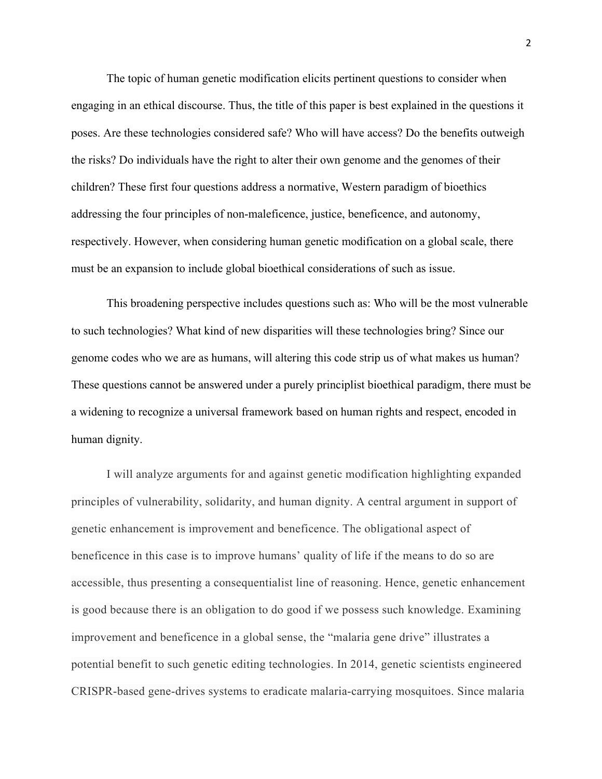The topic of human genetic modification elicits pertinent questions to consider when engaging in an ethical discourse. Thus, the title of this paper is best explained in the questions it poses. Are these technologies considered safe? Who will have access? Do the benefits outweigh the risks? Do individuals have the right to alter their own genome and the genomes of their children? These first four questions address a normative, Western paradigm of bioethics addressing the four principles of non-maleficence, justice, beneficence, and autonomy, respectively. However, when considering human genetic modification on a global scale, there must be an expansion to include global bioethical considerations of such as issue.

This broadening perspective includes questions such as: Who will be the most vulnerable to such technologies? What kind of new disparities will these technologies bring? Since our genome codes who we are as humans, will altering this code strip us of what makes us human? These questions cannot be answered under a purely principlist bioethical paradigm, there must be a widening to recognize a universal framework based on human rights and respect, encoded in human dignity.

I will analyze arguments for and against genetic modification highlighting expanded principles of vulnerability, solidarity, and human dignity. A central argument in support of genetic enhancement is improvement and beneficence. The obligational aspect of beneficence in this case is to improve humans' quality of life if the means to do so are accessible, thus presenting a consequentialist line of reasoning. Hence, genetic enhancement is good because there is an obligation to do good if we possess such knowledge. Examining improvement and beneficence in a global sense, the "malaria gene drive" illustrates a potential benefit to such genetic editing technologies. In 2014, genetic scientists engineered CRISPR-based gene-drives systems to eradicate malaria-carrying mosquitoes. Since malaria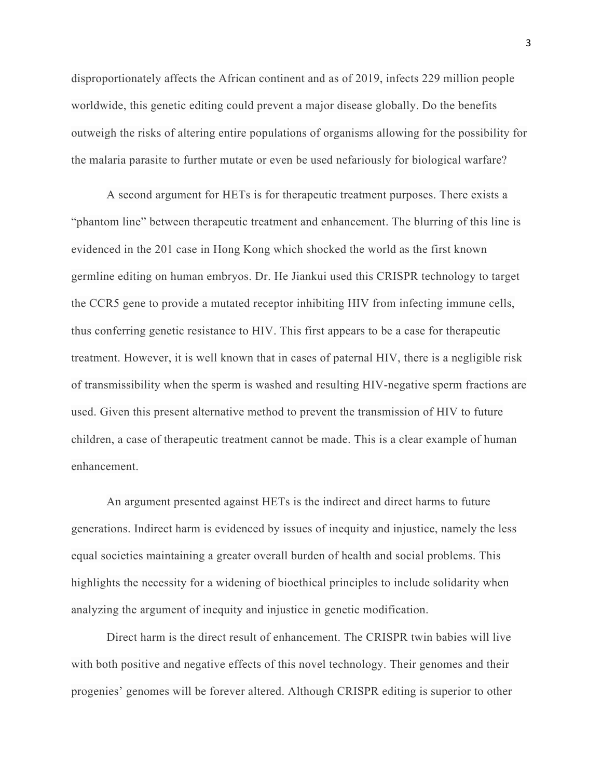disproportionately affects the African continent and as of 2019, infects 229 million people worldwide, this genetic editing could prevent a major disease globally. Do the benefits outweigh the risks of altering entire populations of organisms allowing for the possibility for the malaria parasite to further mutate or even be used nefariously for biological warfare?

A second argument for HETs is for therapeutic treatment purposes. There exists a "phantom line" between therapeutic treatment and enhancement. The blurring of this line is evidenced in the 201 case in Hong Kong which shocked the world as the first known germline editing on human embryos. Dr. He Jiankui used this CRISPR technology to target the CCR5 gene to provide a mutated receptor inhibiting HIV from infecting immune cells, thus conferring genetic resistance to HIV. This first appears to be a case for therapeutic treatment. However, it is well known that in cases of paternal HIV, there is a negligible risk of transmissibility when the sperm is washed and resulting HIV-negative sperm fractions are used. Given this present alternative method to prevent the transmission of HIV to future children, a case of therapeutic treatment cannot be made. This is a clear example of human enhancement.

An argument presented against HETs is the indirect and direct harms to future generations. Indirect harm is evidenced by issues of inequity and injustice, namely the less equal societies maintaining a greater overall burden of health and social problems. This highlights the necessity for a widening of bioethical principles to include solidarity when analyzing the argument of inequity and injustice in genetic modification.

Direct harm is the direct result of enhancement. The CRISPR twin babies will live with both positive and negative effects of this novel technology. Their genomes and their progenies' genomes will be forever altered. Although CRISPR editing is superior to other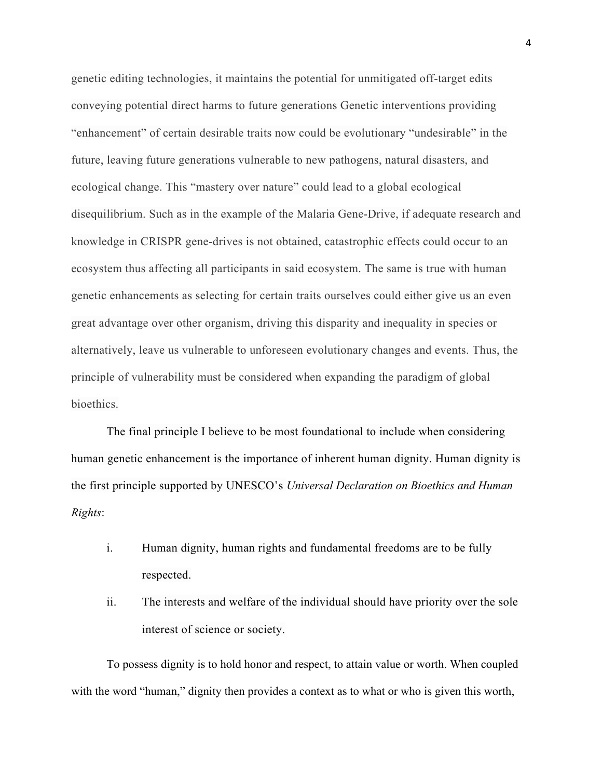genetic editing technologies, it maintains the potential for unmitigated off-target edits conveying potential direct harms to future generations Genetic interventions providing "enhancement" of certain desirable traits now could be evolutionary "undesirable" in the future, leaving future generations vulnerable to new pathogens, natural disasters, and ecological change. This "mastery over nature" could lead to a global ecological disequilibrium. Such as in the example of the Malaria Gene-Drive, if adequate research and knowledge in CRISPR gene-drives is not obtained, catastrophic effects could occur to an ecosystem thus affecting all participants in said ecosystem. The same is true with human genetic enhancements as selecting for certain traits ourselves could either give us an even great advantage over other organism, driving this disparity and inequality in species or alternatively, leave us vulnerable to unforeseen evolutionary changes and events. Thus, the principle of vulnerability must be considered when expanding the paradigm of global bioethics.

The final principle I believe to be most foundational to include when considering human genetic enhancement is the importance of inherent human dignity. Human dignity is the first principle supported by UNESCO's *Universal Declaration on Bioethics and Human Rights*:

- i. Human dignity, human rights and fundamental freedoms are to be fully respected.
- ii. The interests and welfare of the individual should have priority over the sole interest of science or society.

To possess dignity is to hold honor and respect, to attain value or worth. When coupled with the word "human," dignity then provides a context as to what or who is given this worth,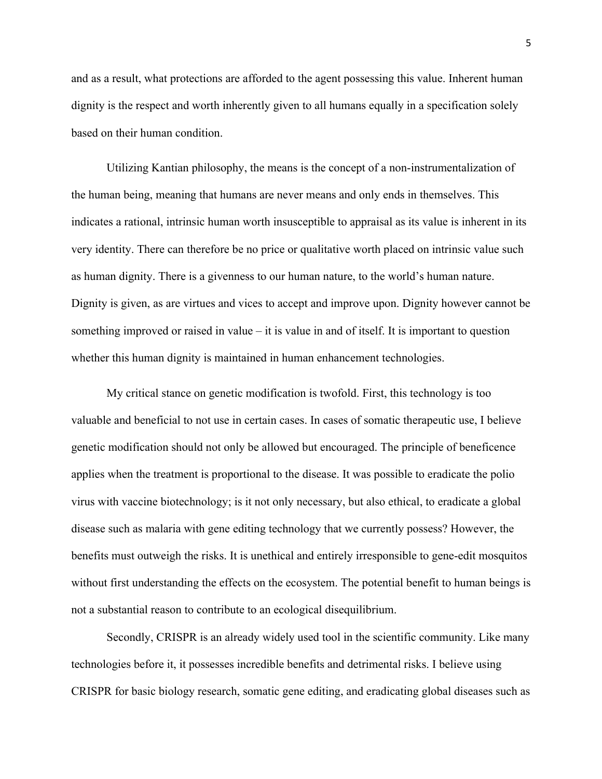and as a result, what protections are afforded to the agent possessing this value. Inherent human dignity is the respect and worth inherently given to all humans equally in a specification solely based on their human condition.

Utilizing Kantian philosophy, the means is the concept of a non-instrumentalization of the human being, meaning that humans are never means and only ends in themselves. This indicates a rational, intrinsic human worth insusceptible to appraisal as its value is inherent in its very identity. There can therefore be no price or qualitative worth placed on intrinsic value such as human dignity. There is a givenness to our human nature, to the world's human nature. Dignity is given, as are virtues and vices to accept and improve upon. Dignity however cannot be something improved or raised in value – it is value in and of itself. It is important to question whether this human dignity is maintained in human enhancement technologies.

My critical stance on genetic modification is twofold. First, this technology is too valuable and beneficial to not use in certain cases. In cases of somatic therapeutic use, I believe genetic modification should not only be allowed but encouraged. The principle of beneficence applies when the treatment is proportional to the disease. It was possible to eradicate the polio virus with vaccine biotechnology; is it not only necessary, but also ethical, to eradicate a global disease such as malaria with gene editing technology that we currently possess? However, the benefits must outweigh the risks. It is unethical and entirely irresponsible to gene-edit mosquitos without first understanding the effects on the ecosystem. The potential benefit to human beings is not a substantial reason to contribute to an ecological disequilibrium.

Secondly, CRISPR is an already widely used tool in the scientific community. Like many technologies before it, it possesses incredible benefits and detrimental risks. I believe using CRISPR for basic biology research, somatic gene editing, and eradicating global diseases such as